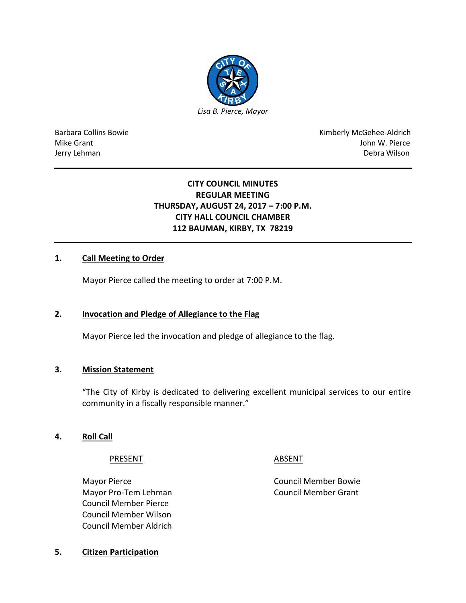

Barbara Collins Bowie **Kimberly McGehee-Aldrich** Mike Grant John W. Pierce Jerry Lehman Debra Wilson (2008) and the state of the state of the state of the state of the state of the state of the state of the state of the state of the state of the state of the state of the state of the state of the

# **CITY COUNCIL MINUTES REGULAR MEETING THURSDAY, AUGUST 24, 2017 – 7:00 P.M. CITY HALL COUNCIL CHAMBER 112 BAUMAN, KIRBY, TX 78219**

#### **1. Call Meeting to Order**

Mayor Pierce called the meeting to order at 7:00 P.M.

#### **2. Invocation and Pledge of Allegiance to the Flag**

Mayor Pierce led the invocation and pledge of allegiance to the flag.

#### **3. Mission Statement**

"The City of Kirby is dedicated to delivering excellent municipal services to our entire community in a fiscally responsible manner."

#### **4. Roll Call**

#### PRESENT ABSENT

Mayor Pierce **Council Member Bowie** Council Member Bowie Mayor Pro-Tem Lehman Council Member Grant Council Member Pierce Council Member Wilson Council Member Aldrich

**5. Citizen Participation**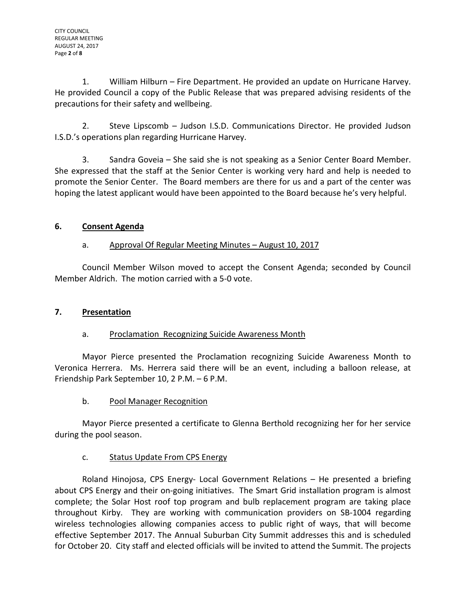1. William Hilburn – Fire Department. He provided an update on Hurricane Harvey. He provided Council a copy of the Public Release that was prepared advising residents of the precautions for their safety and wellbeing.

2. Steve Lipscomb – Judson I.S.D. Communications Director. He provided Judson I.S.D.'s operations plan regarding Hurricane Harvey.

3. Sandra Goveia – She said she is not speaking as a Senior Center Board Member. She expressed that the staff at the Senior Center is working very hard and help is needed to promote the Senior Center. The Board members are there for us and a part of the center was hoping the latest applicant would have been appointed to the Board because he's very helpful.

# **6. Consent Agenda**

# a. Approval Of Regular Meeting Minutes – August 10, 2017

Council Member Wilson moved to accept the Consent Agenda; seconded by Council Member Aldrich. The motion carried with a 5-0 vote.

# **7. Presentation**

# a. Proclamation Recognizing Suicide Awareness Month

Mayor Pierce presented the Proclamation recognizing Suicide Awareness Month to Veronica Herrera. Ms. Herrera said there will be an event, including a balloon release, at Friendship Park September 10, 2 P.M. – 6 P.M.

b. Pool Manager Recognition

Mayor Pierce presented a certificate to Glenna Berthold recognizing her for her service during the pool season.

# c. Status Update From CPS Energy

Roland Hinojosa, CPS Energy- Local Government Relations – He presented a briefing about CPS Energy and their on-going initiatives. The Smart Grid installation program is almost complete; the Solar Host roof top program and bulb replacement program are taking place throughout Kirby. They are working with communication providers on SB-1004 regarding wireless technologies allowing companies access to public right of ways, that will become effective September 2017. The Annual Suburban City Summit addresses this and is scheduled for October 20. City staff and elected officials will be invited to attend the Summit. The projects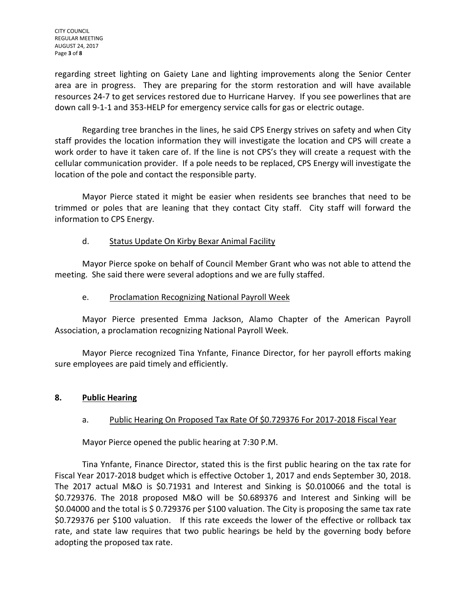CITY COUNCIL REGULAR MEETING AUGUST 24, 2017 Page **3** of **8**

regarding street lighting on Gaiety Lane and lighting improvements along the Senior Center area are in progress. They are preparing for the storm restoration and will have available resources 24-7 to get services restored due to Hurricane Harvey. If you see powerlines that are down call 9-1-1 and 353-HELP for emergency service calls for gas or electric outage.

Regarding tree branches in the lines, he said CPS Energy strives on safety and when City staff provides the location information they will investigate the location and CPS will create a work order to have it taken care of. If the line is not CPS's they will create a request with the cellular communication provider. If a pole needs to be replaced, CPS Energy will investigate the location of the pole and contact the responsible party.

Mayor Pierce stated it might be easier when residents see branches that need to be trimmed or poles that are leaning that they contact City staff. City staff will forward the information to CPS Energy.

# d. Status Update On Kirby Bexar Animal Facility

Mayor Pierce spoke on behalf of Council Member Grant who was not able to attend the meeting. She said there were several adoptions and we are fully staffed.

# e. Proclamation Recognizing National Payroll Week

Mayor Pierce presented Emma Jackson, Alamo Chapter of the American Payroll Association, a proclamation recognizing National Payroll Week.

Mayor Pierce recognized Tina Ynfante, Finance Director, for her payroll efforts making sure employees are paid timely and efficiently.

# **8. Public Hearing**

# a. Public Hearing On Proposed Tax Rate Of \$0.729376 For 2017-2018 Fiscal Year

Mayor Pierce opened the public hearing at 7:30 P.M.

Tina Ynfante, Finance Director, stated this is the first public hearing on the tax rate for Fiscal Year 2017-2018 budget which is effective October 1, 2017 and ends September 30, 2018. The 2017 actual M&O is \$0.71931 and Interest and Sinking is \$0.010066 and the total is \$0.729376. The 2018 proposed M&O will be \$0.689376 and Interest and Sinking will be \$0.04000 and the total is \$ 0.729376 per \$100 valuation. The City is proposing the same tax rate \$0.729376 per \$100 valuation. If this rate exceeds the lower of the effective or rollback tax rate, and state law requires that two public hearings be held by the governing body before adopting the proposed tax rate.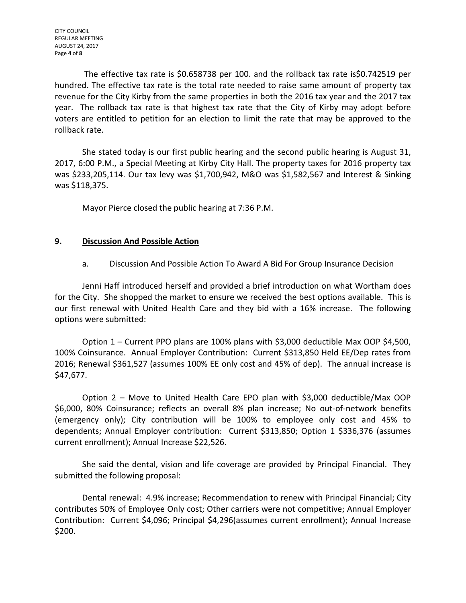The effective tax rate is \$0.658738 per 100. and the rollback tax rate is\$0.742519 per hundred. The effective tax rate is the total rate needed to raise same amount of property tax revenue for the City Kirby from the same properties in both the 2016 tax year and the 2017 tax year. The rollback tax rate is that highest tax rate that the City of Kirby may adopt before voters are entitled to petition for an election to limit the rate that may be approved to the rollback rate.

She stated today is our first public hearing and the second public hearing is August 31, 2017, 6:00 P.M., a Special Meeting at Kirby City Hall. The property taxes for 2016 property tax was \$233,205,114. Our tax levy was \$1,700,942, M&O was \$1,582,567 and Interest & Sinking was \$118,375.

Mayor Pierce closed the public hearing at 7:36 P.M.

#### **9. Discussion And Possible Action**

#### a. Discussion And Possible Action To Award A Bid For Group Insurance Decision

Jenni Haff introduced herself and provided a brief introduction on what Wortham does for the City. She shopped the market to ensure we received the best options available. This is our first renewal with United Health Care and they bid with a 16% increase. The following options were submitted:

Option 1 – Current PPO plans are 100% plans with \$3,000 deductible Max OOP \$4,500, 100% Coinsurance. Annual Employer Contribution: Current \$313,850 Held EE/Dep rates from 2016; Renewal \$361,527 (assumes 100% EE only cost and 45% of dep). The annual increase is \$47,677.

Option 2 – Move to United Health Care EPO plan with \$3,000 deductible/Max OOP \$6,000, 80% Coinsurance; reflects an overall 8% plan increase; No out-of-network benefits (emergency only); City contribution will be 100% to employee only cost and 45% to dependents; Annual Employer contribution: Current \$313,850; Option 1 \$336,376 (assumes current enrollment); Annual Increase \$22,526.

She said the dental, vision and life coverage are provided by Principal Financial. They submitted the following proposal:

Dental renewal: 4.9% increase; Recommendation to renew with Principal Financial; City contributes 50% of Employee Only cost; Other carriers were not competitive; Annual Employer Contribution: Current \$4,096; Principal \$4,296(assumes current enrollment); Annual Increase \$200.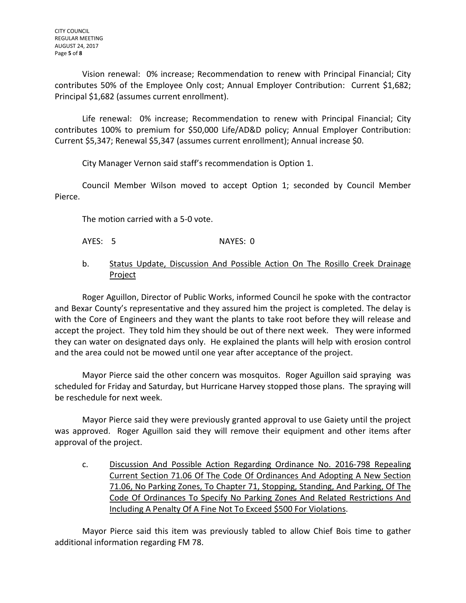Vision renewal: 0% increase; Recommendation to renew with Principal Financial; City contributes 50% of the Employee Only cost; Annual Employer Contribution: Current \$1,682; Principal \$1,682 (assumes current enrollment).

Life renewal: 0% increase; Recommendation to renew with Principal Financial; City contributes 100% to premium for \$50,000 Life/AD&D policy; Annual Employer Contribution: Current \$5,347; Renewal \$5,347 (assumes current enrollment); Annual increase \$0.

City Manager Vernon said staff's recommendation is Option 1.

Council Member Wilson moved to accept Option 1; seconded by Council Member Pierce.

The motion carried with a 5-0 vote.

- AYES: 5 NAYES: 0
- b. Status Update, Discussion And Possible Action On The Rosillo Creek Drainage Project

Roger Aguillon, Director of Public Works, informed Council he spoke with the contractor and Bexar County's representative and they assured him the project is completed. The delay is with the Core of Engineers and they want the plants to take root before they will release and accept the project. They told him they should be out of there next week. They were informed they can water on designated days only. He explained the plants will help with erosion control and the area could not be mowed until one year after acceptance of the project.

Mayor Pierce said the other concern was mosquitos. Roger Aguillon said spraying was scheduled for Friday and Saturday, but Hurricane Harvey stopped those plans. The spraying will be reschedule for next week.

Mayor Pierce said they were previously granted approval to use Gaiety until the project was approved. Roger Aguillon said they will remove their equipment and other items after approval of the project.

c. Discussion And Possible Action Regarding Ordinance No. 2016-798 Repealing Current Section 71.06 Of The Code Of Ordinances And Adopting A New Section 71.06, No Parking Zones, To Chapter 71, Stopping, Standing, And Parking, Of The Code Of Ordinances To Specify No Parking Zones And Related Restrictions And Including A Penalty Of A Fine Not To Exceed \$500 For Violations.

Mayor Pierce said this item was previously tabled to allow Chief Bois time to gather additional information regarding FM 78.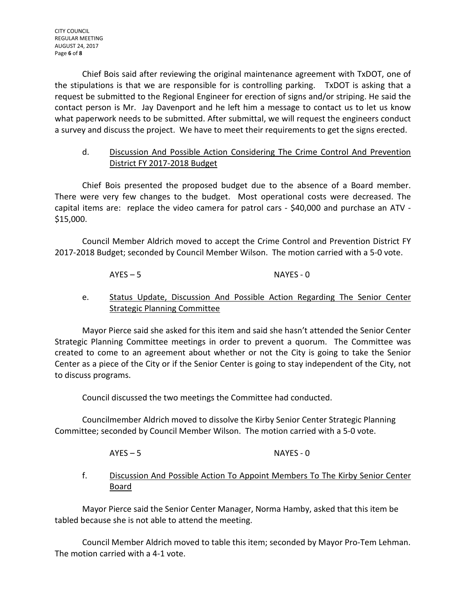Chief Bois said after reviewing the original maintenance agreement with TxDOT, one of the stipulations is that we are responsible for is controlling parking. TxDOT is asking that a request be submitted to the Regional Engineer for erection of signs and/or striping. He said the contact person is Mr. Jay Davenport and he left him a message to contact us to let us know what paperwork needs to be submitted. After submittal, we will request the engineers conduct a survey and discuss the project. We have to meet their requirements to get the signs erected.

### d. Discussion And Possible Action Considering The Crime Control And Prevention District FY 2017-2018 Budget

Chief Bois presented the proposed budget due to the absence of a Board member. There were very few changes to the budget. Most operational costs were decreased. The capital items are: replace the video camera for patrol cars - \$40,000 and purchase an ATV - \$15,000.

Council Member Aldrich moved to accept the Crime Control and Prevention District FY 2017-2018 Budget; seconded by Council Member Wilson. The motion carried with a 5-0 vote.

AYES – 5 NAYES - 0

# e. Status Update, Discussion And Possible Action Regarding The Senior Center Strategic Planning Committee

Mayor Pierce said she asked for this item and said she hasn't attended the Senior Center Strategic Planning Committee meetings in order to prevent a quorum. The Committee was created to come to an agreement about whether or not the City is going to take the Senior Center as a piece of the City or if the Senior Center is going to stay independent of the City, not to discuss programs.

Council discussed the two meetings the Committee had conducted.

Councilmember Aldrich moved to dissolve the Kirby Senior Center Strategic Planning Committee; seconded by Council Member Wilson. The motion carried with a 5-0 vote.

AYES – 5 NAYES - 0

# f. Discussion And Possible Action To Appoint Members To The Kirby Senior Center Board

Mayor Pierce said the Senior Center Manager, Norma Hamby, asked that this item be tabled because she is not able to attend the meeting.

Council Member Aldrich moved to table this item; seconded by Mayor Pro-Tem Lehman. The motion carried with a 4-1 vote.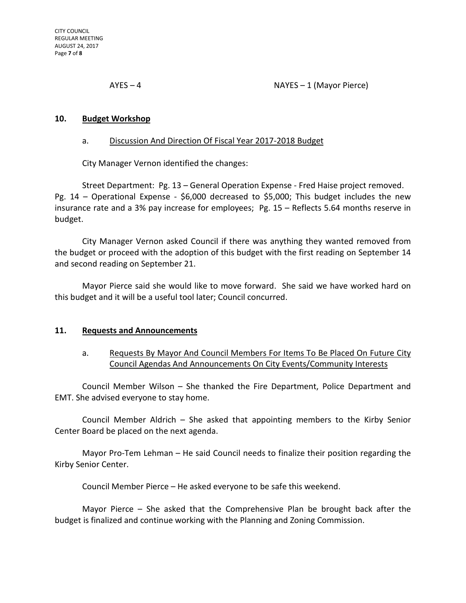AYES – 4 NAYES – 1 (Mayor Pierce)

#### **10. Budget Workshop**

#### a. Discussion And Direction Of Fiscal Year 2017-2018 Budget

City Manager Vernon identified the changes:

Street Department: Pg. 13 – General Operation Expense - Fred Haise project removed. Pg. 14 – Operational Expense - \$6,000 decreased to \$5,000; This budget includes the new insurance rate and a 3% pay increase for employees; Pg. 15 – Reflects 5.64 months reserve in budget.

City Manager Vernon asked Council if there was anything they wanted removed from the budget or proceed with the adoption of this budget with the first reading on September 14 and second reading on September 21.

Mayor Pierce said she would like to move forward. She said we have worked hard on this budget and it will be a useful tool later; Council concurred.

#### **11. Requests and Announcements**

#### a. Requests By Mayor And Council Members For Items To Be Placed On Future City Council Agendas And Announcements On City Events/Community Interests

Council Member Wilson – She thanked the Fire Department, Police Department and EMT. She advised everyone to stay home.

Council Member Aldrich – She asked that appointing members to the Kirby Senior Center Board be placed on the next agenda.

Mayor Pro-Tem Lehman – He said Council needs to finalize their position regarding the Kirby Senior Center.

Council Member Pierce – He asked everyone to be safe this weekend.

Mayor Pierce – She asked that the Comprehensive Plan be brought back after the budget is finalized and continue working with the Planning and Zoning Commission.